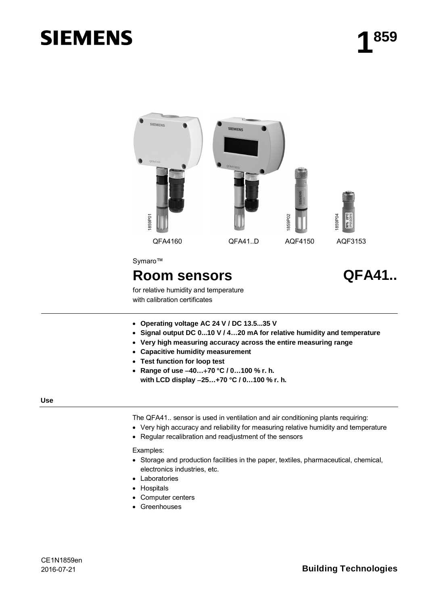# **SIEMENS**



for relative humidity and temperature with calibration certificates

- x **Operating voltage AC 24 V / DC 13.5...35 V**
- x **Signal output DC 0...10 V / 4…20 mA for relative humidity and temperature**
- x **Very high measuring accuracy across the entire measuring range**
- x **Capacitive humidity measurement**
- x **Test function for loop test**
- x **Range of use 40…70 °C / 0…100 % r. h. with LCD display 25…+70 °C / 0…100 % r. h.**

#### **Use**

The QFA41.. sensor is used in ventilation and air conditioning plants requiring:

- Very high accuracy and reliability for measuring relative humidity and temperature
- Regular recalibration and readjustment of the sensors

Examples:

- Storage and production facilities in the paper, textiles, pharmaceutical, chemical, electronics industries, etc.
- Laboratories
- Hospitals
- Computer centers
- Greenhouses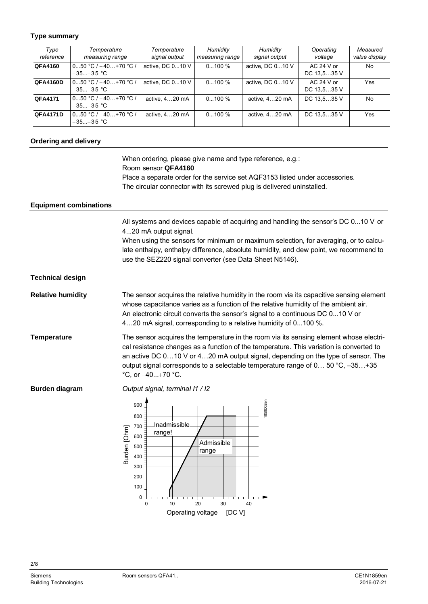## **Type summary**

| Type<br>reference | Temperature<br>measuring range          | Temperature<br>signal output | Humidity<br>measuring range | Humidity<br>signal output | Operating<br>voltage      | Measured<br>value display |
|-------------------|-----------------------------------------|------------------------------|-----------------------------|---------------------------|---------------------------|---------------------------|
| QFA4160           | 0…50 °C / −40…+70 °C /<br>$-35+35$ °C   | active, DC 010 V             | $0100\%$                    | active, DC 010 V          | $AC24 Vor$<br>DC 13.535 V | No.                       |
| <b>QFA4160D</b>   | $050 °C$ / $-40+70 °C$ /<br>$-35+35$ °C | active, DC 010 V             | $0100\%$                    | active. DC $010$ V        | $AC24 Vor$<br>DC 13.535 V | Yes                       |
| <b>QFA4171</b>    | l 050 °C / –40+70 °C /<br>$-35+35$ °C   | active, 420 mA               | $0100\%$                    | active, 420 mA            | DC 13.535 V               | No                        |
| <b>QFA4171D</b>   | $050 °C$ / $-40+70 °C$ /<br>$-35+35$ °C | active, 420 mA               | $0100\%$                    | active, 420 mA            | DC 13,535 V               | Yes                       |

## **Ordering and delivery**

When ordering, please give name and type reference, e.g.: Room sensor **QFA4160** Place a separate order for the service set AQF3153 listed under accessories. The circular connector with its screwed plug is delivered uninstalled.

#### **Equipment combinations**

All systems and devices capable of acquiring and handling the sensor's DC 0...10 V or 4...20 mA output signal.

When using the sensors for minimum or maximum selection, for averaging, or to calculate enthalpy, enthalpy difference, absolute humidity, and dew point, we recommend to use the SEZ220 signal converter (see Data Sheet N5146).

#### **Technical design**

The sensor acquires the relative humidity in the room via its capacitive sensing element whose capacitance varies as a function of the relative humidity of the ambient air. An electronic circuit converts the sensor's signal to a continuous DC 0...10 V or 4…20 mA signal, corresponding to a relative humidity of 0...100 %. **Relative humidity**

The sensor acquires the temperature in the room via its sensing element whose electrical resistance changes as a function of the temperature. This variation is converted to an active DC 0…10 V or 4…20 mA output signal, depending on the type of sensor. The output signal corresponds to a selectable temperature range of 0… 50 °C, –35…+35  $^{\circ}$ C, or  $-40...+70$   $^{\circ}$ C. **Temperature**

**Burden diagram**

*Output signal, terminaI I1 / I2*

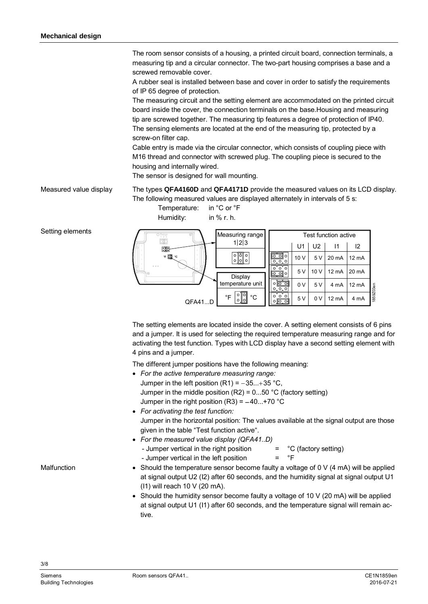The room sensor consists of a housing, a printed circuit board, connection terminals, a measuring tip and a circular connector. The two-part housing comprises a base and a screwed removable cover.

A rubber seal is installed between base and cover in order to satisfy the requirements of IP 65 degree of protection.

The measuring circuit and the setting element are accommodated on the printed circuit board inside the cover, the connection terminals on the base.Housing and measuring tip are screwed together. The measuring tip features a degree of protection of IP40. The sensing elements are located at the end of the measuring tip, protected by a screw-on filter cap.

Cable entry is made via the circular connector, which consists of coupling piece with M16 thread and connector with screwed plug. The coupling piece is secured to the housing and internally wired.

The sensor is designed for wall mounting.

The types **QFA4160D** and **QFA4171D** provide the measured values on its LCD display. The following measured values are displayed alternately in intervals of 5 s: [Measured](http://dict.leo.org/ende?lp=ende&p=eek2E.&search=measured) [value](http://dict.leo.org/ende?lp=ende&p=eek2E.&search=value) [display](http://dict.leo.org/ende?lp=ende&p=eek2E.&search=display)

> Temperature: in °C or °F Humidity: in % r. h.





The setting elements are located inside the cover. A setting element consists of 6 pins and a jumper. It is used for selecting the required temperature measuring range and for activating the test function. Types with LCD display have a second setting element with 4 pins and a jumper.

The different jumper positions have the following meaning:

- x *For the active temperature measuring range:*
- Jumper in the left position  $(R1) = -35...+35$  °C, Jumper in the middle position  $(R2) = 0...50$  °C (factory setting) Jumper in the right position  $(R3) = -40...+70$  °C x *For activating the test function:* Jumper in the horizontal position: The values available at the signal output are those given in the table "Test function active".
- x *For the [measured](http://dict.leo.org/ende?lp=ende&p=eek2E.&search=measured) [value](http://dict.leo.org/ende?lp=ende&p=eek2E.&search=value) [display](http://dict.leo.org/ende?lp=ende&p=eek2E.&search=display) (QFA41..D)* - Jumper vertical in the right position  $=$   $^{\circ}C$  (factory setting) - Jumper vertical in the left position  $=$   $\degree$ F
- Should the temperature sensor become faulty a voltage of  $0 \vee (4 \text{ mA})$  will be applied at signal output U2 (I2) after 60 seconds, and the humidity signal at signal output U1 (I1) will reach 10 V (20 mA).
- Should the humidity sensor become faulty a voltage of 10 V (20 mA) will be applied at signal output U1 (I1) after 60 seconds, and the temperature signal will remain active.

Setting elements

**Malfunction**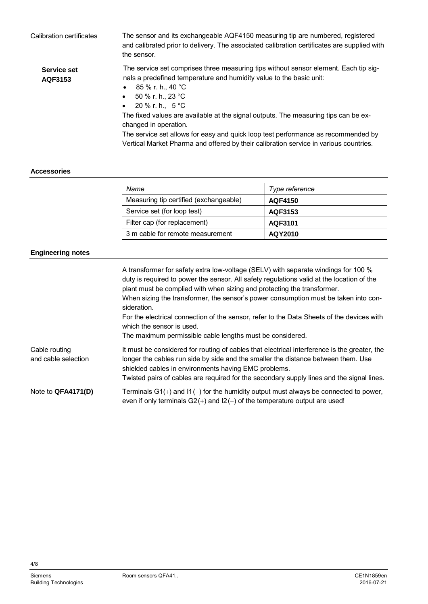| Calibration certificates | The sensor and its exchangeable AQF4150 measuring tip are numbered, registered<br>and calibrated prior to delivery. The associated calibration certificates are supplied with<br>the sensor.                                                                                                                                                                                                                                                                                                                                                          |
|--------------------------|-------------------------------------------------------------------------------------------------------------------------------------------------------------------------------------------------------------------------------------------------------------------------------------------------------------------------------------------------------------------------------------------------------------------------------------------------------------------------------------------------------------------------------------------------------|
| Service set<br>AQF3153   | The service set comprises three measuring tips without sensor element. Each tip sig-<br>nals a predefined temperature and humidity value to the basic unit:<br>85 % r. h., 40 °C<br>$\bullet$<br>• $50\%$ r. h., 23 °C<br>20 % r. h., 5 °C<br>$\bullet$<br>The fixed values are available at the signal outputs. The measuring tips can be ex-<br>changed in operation.<br>The service set allows for easy and quick loop test performance as recommended by<br>Vertical Market Pharma and offered by their calibration service in various countries. |

## **Accessories**

| Name                                   | Type reference |
|----------------------------------------|----------------|
| Measuring tip certified (exchangeable) | AQF4150        |
| Service set (for loop test)            | AQF3153        |
| Filter cap (for replacement)           | AQF3101        |
| 3 m cable for remote measurement       | AQY2010        |

# **Engineering notes**

|                                      | A transformer for safety extra low-voltage (SELV) with separate windings for 100 %<br>duty is required to power the sensor. All safety regulations valid at the location of the<br>plant must be complied with when sizing and protecting the transformer.<br>When sizing the transformer, the sensor's power consumption must be taken into con-<br>sideration.<br>For the electrical connection of the sensor, refer to the Data Sheets of the devices with<br>which the sensor is used.<br>The maximum permissible cable lengths must be considered. |
|--------------------------------------|---------------------------------------------------------------------------------------------------------------------------------------------------------------------------------------------------------------------------------------------------------------------------------------------------------------------------------------------------------------------------------------------------------------------------------------------------------------------------------------------------------------------------------------------------------|
| Cable routing<br>and cable selection | It must be considered for routing of cables that electrical interference is the greater, the<br>longer the cables run side by side and the smaller the distance between them. Use<br>shielded cables in environments having EMC problems.<br>Twisted pairs of cables are required for the secondary supply lines and the signal lines.                                                                                                                                                                                                                  |
| Note to QFA4171(D)                   | Terminals $G1(+)$ and $11(-)$ for the humidity output must always be connected to power,<br>even if only terminals $G2(+)$ and $12(-)$ of the temperature output are used!                                                                                                                                                                                                                                                                                                                                                                              |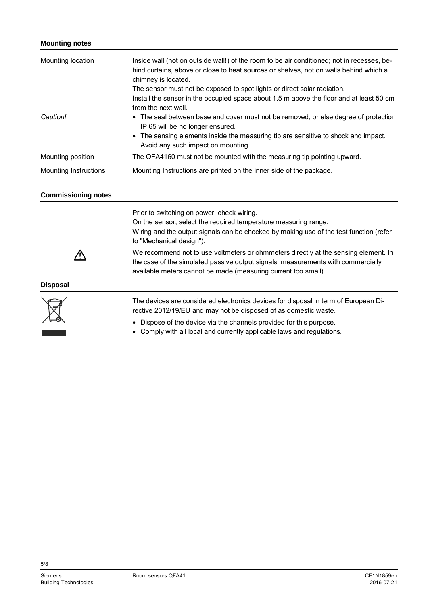# **Mounting notes**

| Mounting location          | Inside wall (not on outside wall!) of the room to be air conditioned; not in recesses, be-<br>hind curtains, above or close to heat sources or shelves, not on walls behind which a<br>chimney is located.<br>The sensor must not be exposed to spot lights or direct solar radiation.<br>Install the sensor in the occupied space about 1.5 m above the floor and at least 50 cm<br>from the next wall.                                                                         |  |  |
|----------------------------|----------------------------------------------------------------------------------------------------------------------------------------------------------------------------------------------------------------------------------------------------------------------------------------------------------------------------------------------------------------------------------------------------------------------------------------------------------------------------------|--|--|
| Caution!                   | The seal between base and cover must not be removed, or else degree of protection<br>IP 65 will be no longer ensured.<br>The sensing elements inside the measuring tip are sensitive to shock and impact.<br>$\bullet$<br>Avoid any such impact on mounting.                                                                                                                                                                                                                     |  |  |
| Mounting position          | The QFA4160 must not be mounted with the measuring tip pointing upward.                                                                                                                                                                                                                                                                                                                                                                                                          |  |  |
| Mounting Instructions      | Mounting Instructions are printed on the inner side of the package.                                                                                                                                                                                                                                                                                                                                                                                                              |  |  |
| <b>Commissioning notes</b> |                                                                                                                                                                                                                                                                                                                                                                                                                                                                                  |  |  |
|                            | Prior to switching on power, check wiring.<br>On the sensor, select the required temperature measuring range.<br>Wiring and the output signals can be checked by making use of the test function (refer<br>to "Mechanical design").<br>We recommend not to use voltmeters or ohmmeters directly at the sensing element. In<br>the case of the simulated passive output signals, measurements with commercially<br>available meters cannot be made (measuring current too small). |  |  |
| <b>Disposal</b>            |                                                                                                                                                                                                                                                                                                                                                                                                                                                                                  |  |  |
|                            | The devices are considered electronics devices for disposal in term of European Di-<br>rective 2012/19/EU and may not be disposed of as domestic waste.                                                                                                                                                                                                                                                                                                                          |  |  |
|                            | Dispose of the device via the channels provided for this purpose.<br>Comply with all local and currently applicable laws and regulations.                                                                                                                                                                                                                                                                                                                                        |  |  |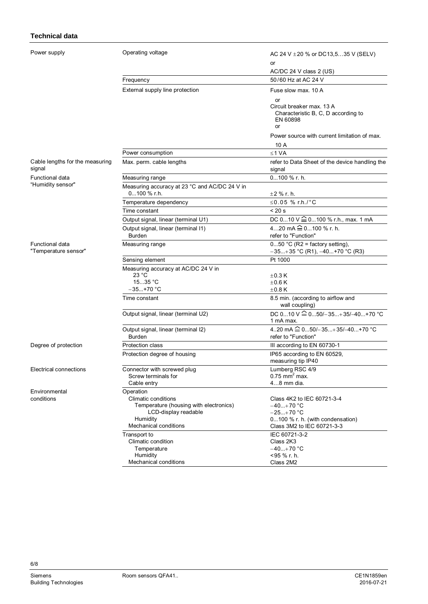# **Technical data**

Power

| Power supply                              | Operating voltage                                                                                                                                     | AC 24 V $\pm$ 20 % or DC13,535 V (SELV)                                                                                    |  |
|-------------------------------------------|-------------------------------------------------------------------------------------------------------------------------------------------------------|----------------------------------------------------------------------------------------------------------------------------|--|
|                                           |                                                                                                                                                       | or                                                                                                                         |  |
|                                           |                                                                                                                                                       | AC/DC 24 V class 2 (US)                                                                                                    |  |
|                                           | Frequency                                                                                                                                             | 50/60 Hz at AC 24 V                                                                                                        |  |
|                                           | External supply line protection                                                                                                                       | Fuse slow max. 10 A                                                                                                        |  |
|                                           |                                                                                                                                                       | or<br>Circuit breaker max. 13 A<br>Characteristic B, C, D according to<br>EN 60898<br>or                                   |  |
|                                           |                                                                                                                                                       | Power source with current limitation of max.                                                                               |  |
|                                           |                                                                                                                                                       | 10 A                                                                                                                       |  |
|                                           | Power consumption                                                                                                                                     | ≤1 VA                                                                                                                      |  |
| Cable lengths for the measuring<br>signal | Max. perm. cable lengths                                                                                                                              | refer to Data Sheet of the device handling the<br>signal                                                                   |  |
| Functional data                           | Measuring range                                                                                                                                       | 0100 % r. h.                                                                                                               |  |
| "Humidity sensor"                         | Measuring accuracy at 23 °C and AC/DC 24 V in                                                                                                         |                                                                                                                            |  |
|                                           | $0100 \%$ r.h.                                                                                                                                        | $\pm 2$ % r. h.                                                                                                            |  |
|                                           | Temperature dependency                                                                                                                                | ≤0.05 % r.h./°C                                                                                                            |  |
|                                           | Time constant                                                                                                                                         | $< 20$ s                                                                                                                   |  |
|                                           | Output signal, linear (terminal U1)                                                                                                                   | DC 010 V $\hat{=}$ 0100 % r.h., max. 1 mA                                                                                  |  |
|                                           | Output signal, linear (terminal I1)                                                                                                                   | 420 mA $\hat{=}$ 0100 % r. h.                                                                                              |  |
|                                           | <b>Burden</b>                                                                                                                                         | refer to "Function"                                                                                                        |  |
| Functional data<br>"Temperature sensor"   | Measuring range                                                                                                                                       | $050$ °C (R2 = factory setting),<br>$-35+35$ °C (R1), $-40+70$ °C (R3)                                                     |  |
|                                           | Sensing element                                                                                                                                       | Pt 1000                                                                                                                    |  |
|                                           | Measuring accuracy at AC/DC 24 V in<br>23 °C                                                                                                          | $\pm$ 0.3 K                                                                                                                |  |
|                                           | 1535 °C                                                                                                                                               | $\pm 0.6$ K                                                                                                                |  |
|                                           | $-35+70$ °C                                                                                                                                           | $\pm 0.8$ K                                                                                                                |  |
|                                           | Time constant                                                                                                                                         | 8.5 min. (according to airflow and<br>wall coupling)                                                                       |  |
|                                           | Output signal, linear (terminal U2)                                                                                                                   | DC $010$ V $\hat{=}$ 050/-35+35/-40+70 °C<br>1 mA max.                                                                     |  |
|                                           | Output signal, linear (terminal I2)<br><b>Burden</b>                                                                                                  | 420 mA $\widehat{=}$ 050/-35+35/-40+70 °C<br>refer to "Function"                                                           |  |
| Degree of protection                      | Protection class                                                                                                                                      | III according to EN 60730-1                                                                                                |  |
|                                           | Protection degree of housing                                                                                                                          | IP65 according to EN 60529,<br>measuring tip IP40                                                                          |  |
| Electrical connections                    | Connector with screwed plug<br>Screw terminals for<br>Cable entry                                                                                     | Lumberg RSC 4/9<br>$0.75$ mm <sup>2</sup> max.<br>48 mm dia.                                                               |  |
| Environmental<br>conditions               | Operation<br><b>Climatic conditions</b><br>Temperature (housing with electronics)<br>LCD-display readable<br>Humidity<br><b>Mechanical conditions</b> | Class 4K2 to IEC 60721-3-4<br>$-40+70 °C$<br>$-25+70$ °C<br>0100 % r. h. (with condensation)<br>Class 3M2 to IEC 60721-3-3 |  |
|                                           | Transport to<br>Climatic condition<br>Temperature<br>Humidity<br>Mechanical conditions                                                                | IEC 60721-3-2<br>Class 2K3<br>$-40+70$ °C<br><95 % r. h.<br>Class 2M2                                                      |  |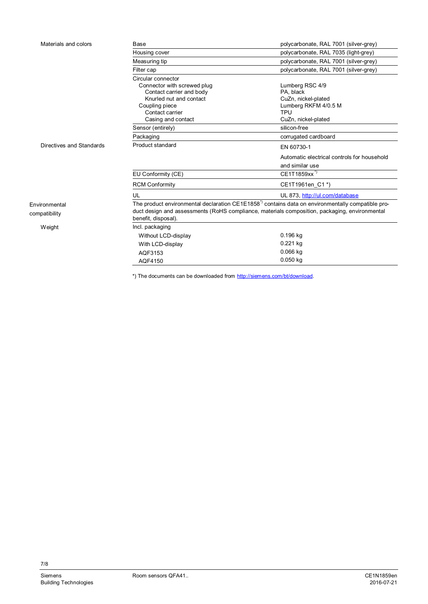| Materials and colors     | Base                                                                                                                             | polycarbonate, RAL 7001 (silver-grey)       |  |
|--------------------------|----------------------------------------------------------------------------------------------------------------------------------|---------------------------------------------|--|
|                          | Housing cover                                                                                                                    | polycarbonate, RAL 7035 (light-grey)        |  |
|                          | Measuring tip                                                                                                                    | polycarbonate, RAL 7001 (silver-grey)       |  |
|                          | Filter cap                                                                                                                       | polycarbonate, RAL 7001 (silver-grey)       |  |
|                          | Circular connector                                                                                                               |                                             |  |
|                          | Connector with screwed plug                                                                                                      | Lumberg RSC 4/9                             |  |
|                          | Contact carrier and body                                                                                                         | PA, black                                   |  |
|                          | Knurled nut and contact                                                                                                          | CuZn, nickel-plated                         |  |
|                          | Coupling piece                                                                                                                   | Lumberg RKFM 4/0.5 M                        |  |
|                          | Contact carrier                                                                                                                  | <b>TPU</b>                                  |  |
|                          | Casing and contact                                                                                                               | CuZn, nickel-plated                         |  |
|                          | Sensor (entirely)                                                                                                                | silicon-free                                |  |
|                          | Packaging                                                                                                                        | corrugated cardboard                        |  |
| Directives and Standards | Product standard                                                                                                                 | EN 60730-1                                  |  |
|                          |                                                                                                                                  | Automatic electrical controls for household |  |
|                          |                                                                                                                                  | and similar use                             |  |
|                          | EU Conformity (CE)                                                                                                               | CE1T1859xx <sup>*)</sup>                    |  |
|                          | <b>RCM Conformity</b>                                                                                                            | CE1T1961en C1*)                             |  |
|                          | UL<br>UL 873, http://ul.com/database                                                                                             |                                             |  |
| Environmental            | The product environmental declaration CE1E1858 <sup><math>^{\circ}</math></sup> contains data on environmentally compatible pro- |                                             |  |
| compatibility            | duct design and assessments (RoHS compliance, materials composition, packaging, environmental                                    |                                             |  |
|                          | benefit, disposal).                                                                                                              |                                             |  |
| Weight                   | Incl. packaging                                                                                                                  |                                             |  |
|                          | Without LCD-display                                                                                                              | 0.196 kg                                    |  |
|                          | With LCD-display                                                                                                                 | $0.221$ kg                                  |  |
|                          | AQF3153                                                                                                                          | $0.066$ kg                                  |  |
|                          | AQF4150                                                                                                                          | $0.050$ kg                                  |  |

\*) The documents can be downloaded from [http://siemens.com/bt/download.](http://siemens.com/bt/download)